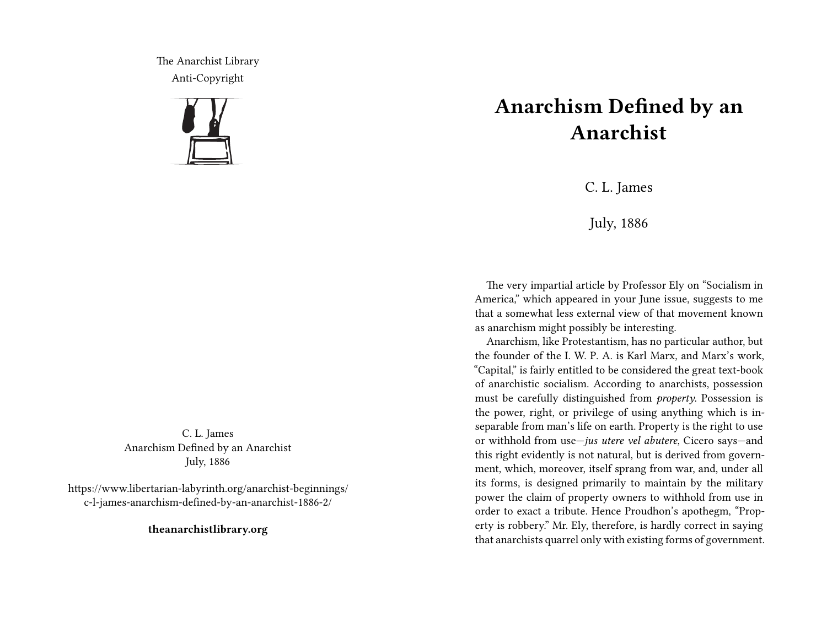The Anarchist Library Anti-Copyright



C. L. James Anarchism Defined by an Anarchist July, 1886

https://www.libertarian-labyrinth.org/anarchist-beginnings/ c-l-james-anarchism-defined-by-an-anarchist-1886-2/

**theanarchistlibrary.org**

## **Anarchism Defined by an Anarchist**

C. L. James

July, 1886

The very impartial article by Professor Ely on "Socialism in America," which appeared in your June issue, suggests to me that a somewhat less external view of that movement known as anarchism might possibly be interesting.

Anarchism, like Protestantism, has no particular author, but the founder of the I. W. P. A. is Karl Marx, and Marx's work, "Capital," is fairly entitled to be considered the great text-book of anarchistic socialism. According to anarchists, possession must be carefully distinguished from *property*. Possession is the power, right, or privilege of using anything which is inseparable from man's life on earth. Property is the right to use or withhold from use—*jus utere vel abutere*, Cicero says—and this right evidently is not natural, but is derived from government, which, moreover, itself sprang from war, and, under all its forms, is designed primarily to maintain by the military power the claim of property owners to withhold from use in order to exact a tribute. Hence Proudhon's apothegm, "Property is robbery." Mr. Ely, therefore, is hardly correct in saying that anarchists quarrel only with existing forms of government.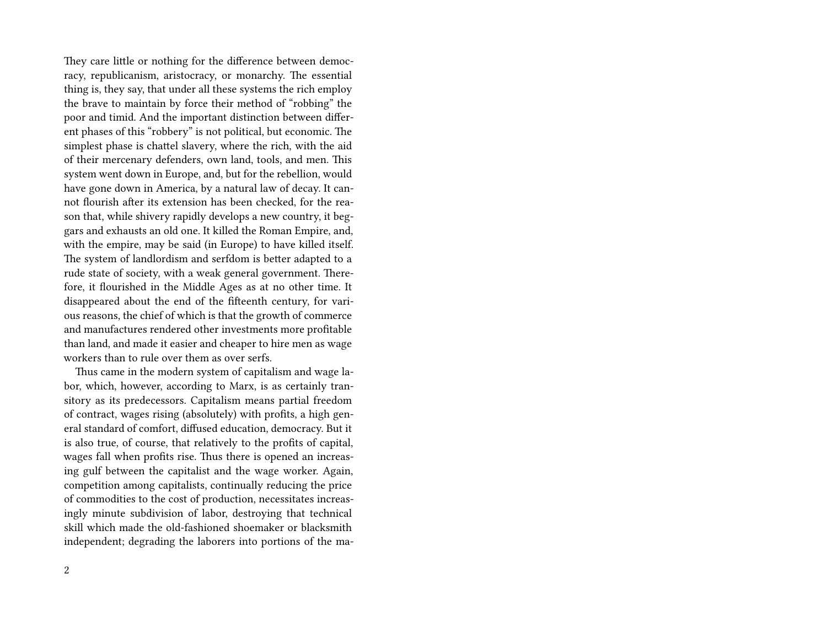They care little or nothing for the difference between democracy, republicanism, aristocracy, or monarchy. The essential thing is, they say, that under all these systems the rich employ the brave to maintain by force their method of "robbing" the poor and timid. And the important distinction between different phases of this "robbery" is not political, but economic. The simplest phase is chattel slavery, where the rich, with the aid of their mercenary defenders, own land, tools, and men. This system went down in Europe, and, but for the rebellion, would have gone down in America, by a natural law of decay. It cannot flourish after its extension has been checked, for the reason that, while shivery rapidly develops a new country, it beggars and exhausts an old one. It killed the Roman Empire, and, with the empire, may be said (in Europe) to have killed itself. The system of landlordism and serfdom is better adapted to a rude state of society, with a weak general government. Therefore, it flourished in the Middle Ages as at no other time. It disappeared about the end of the fifteenth century, for various reasons, the chief of which is that the growth of commerce and manufactures rendered other investments more profitable than land, and made it easier and cheaper to hire men as wage workers than to rule over them as over serfs.

Thus came in the modern system of capitalism and wage labor, which, however, according to Marx, is as certainly transitory as its predecessors. Capitalism means partial freedom of contract, wages rising (absolutely) with profits, a high general standard of comfort, diffused education, democracy. But it is also true, of course, that relatively to the profits of capital, wages fall when profits rise. Thus there is opened an increasing gulf between the capitalist and the wage worker. Again, competition among capitalists, continually reducing the price of commodities to the cost of production, necessitates increasingly minute subdivision of labor, destroying that technical skill which made the old-fashioned shoemaker or blacksmith independent; degrading the laborers into portions of the ma-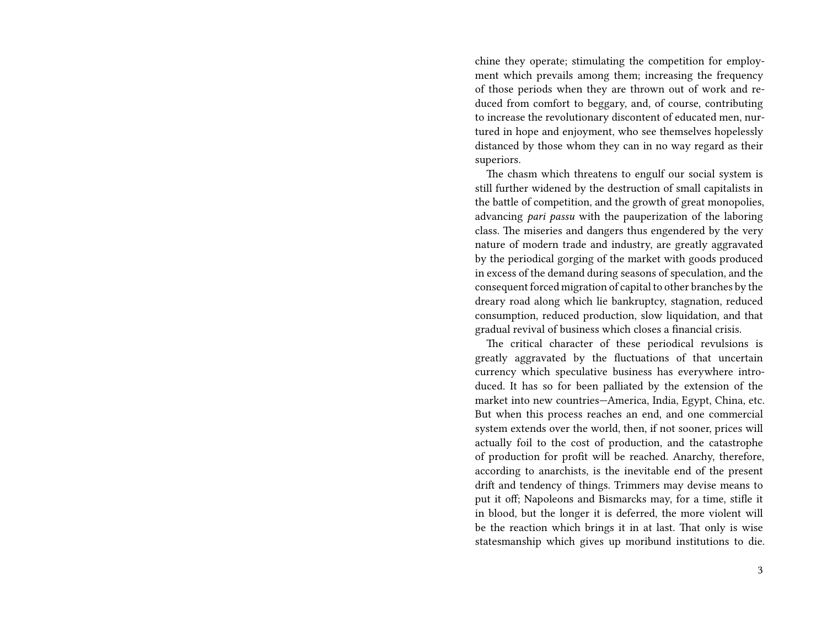chine they operate; stimulating the competition for employment which prevails among them; increasing the frequency of those periods when they are thrown out of work and reduced from comfort to beggary, and, of course, contributing to increase the revolutionary discontent of educated men, nurtured in hope and enjoyment, who see themselves hopelessly distanced by those whom they can in no way regard as their superiors.

The chasm which threatens to engulf our social system is still further widened by the destruction of small capitalists in the battle of competition, and the growth of great monopolies, advancing *pari passu* with the pauperization of the laboring class. The miseries and dangers thus engendered by the very nature of modern trade and industry, are greatly aggravated by the periodical gorging of the market with goods produced in excess of the demand during seasons of speculation, and the consequent forced migration of capital to other branches by the dreary road along which lie bankruptcy, stagnation, reduced consumption, reduced production, slow liquidation, and that gradual revival of business which closes a financial crisis.

The critical character of these periodical revulsions is greatly aggravated by the fluctuations of that uncertain currency which speculative business has everywhere introduced. It has so for been palliated by the extension of the market into new countries—America, India, Egypt, China, etc. But when this process reaches an end, and one commercial system extends over the world, then, if not sooner, prices will actually foil to the cost of production, and the catastrophe of production for profit will be reached. Anarchy, therefore, according to anarchists, is the inevitable end of the present drift and tendency of things. Trimmers may devise means to put it off; Napoleons and Bismarcks may, for a time, stifle it in blood, but the longer it is deferred, the more violent will be the reaction which brings it in at last. That only is wise statesmanship which gives up moribund institutions to die.